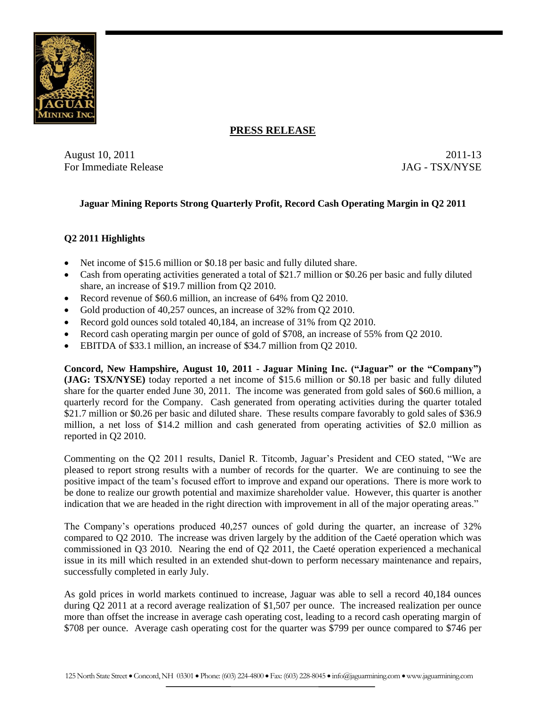

### **PRESS RELEASE**

August 10, 2011 2011-13 For Immediate Release **For Immediate Release** JAG - TSX/NYSE

### **Jaguar Mining Reports Strong Quarterly Profit, Record Cash Operating Margin in Q2 2011**

## **Q2 2011 Highlights**

- Net income of \$15.6 million or \$0.18 per basic and fully diluted share.
- Cash from operating activities generated a total of \$21.7 million or \$0.26 per basic and fully diluted share, an increase of \$19.7 million from Q2 2010.
- Record revenue of \$60.6 million, an increase of 64% from Q2 2010.
- Gold production of 40,257 ounces, an increase of 32% from O2 2010.
- Record gold ounces sold totaled 40,184, an increase of 31% from O2 2010.
- Record cash operating margin per ounce of gold of \$708, an increase of 55% from Q2 2010.
- EBITDA of \$33.1 million, an increase of \$34.7 million from Q2 2010.

**Concord, New Hampshire, August 10, 2011 - Jaguar Mining Inc. ("Jaguar" or the "Company") (JAG: TSX/NYSE)** today reported a net income of \$15.6 million or \$0.18 per basic and fully diluted share for the quarter ended June 30, 2011. The income was generated from gold sales of \$60.6 million, a quarterly record for the Company. Cash generated from operating activities during the quarter totaled \$21.7 million or \$0.26 per basic and diluted share. These results compare favorably to gold sales of \$36.9 million, a net loss of \$14.2 million and cash generated from operating activities of \$2.0 million as reported in Q2 2010.

Commenting on the Q2 2011 results, Daniel R. Titcomb, Jaguar's President and CEO stated, "We are pleased to report strong results with a number of records for the quarter. We are continuing to see the positive impact of the team's focused effort to improve and expand our operations. There is more work to be done to realize our growth potential and maximize shareholder value. However, this quarter is another indication that we are headed in the right direction with improvement in all of the major operating areas."

The Company's operations produced 40,257 ounces of gold during the quarter, an increase of 32% compared to Q2 2010. The increase was driven largely by the addition of the Caeté operation which was commissioned in Q3 2010. Nearing the end of Q2 2011, the Caeté operation experienced a mechanical issue in its mill which resulted in an extended shut-down to perform necessary maintenance and repairs, successfully completed in early July.

As gold prices in world markets continued to increase, Jaguar was able to sell a record 40,184 ounces during Q2 2011 at a record average realization of \$1,507 per ounce. The increased realization per ounce more than offset the increase in average cash operating cost, leading to a record cash operating margin of \$708 per ounce. Average cash operating cost for the quarter was \$799 per ounce compared to \$746 per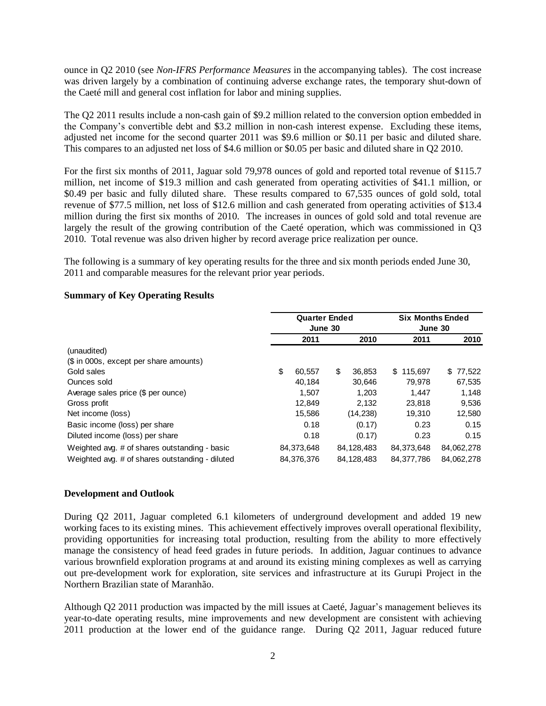ounce in Q2 2010 (see *Non-IFRS Performance Measures* in the accompanying tables). The cost increase was driven largely by a combination of continuing adverse exchange rates, the temporary shut-down of the Caeté mill and general cost inflation for labor and mining supplies.

The Q2 2011 results include a non-cash gain of \$9.2 million related to the conversion option embedded in the Company's convertible debt and \$3.2 million in non-cash interest expense. Excluding these items, adjusted net income for the second quarter 2011 was \$9.6 million or \$0.11 per basic and diluted share. This compares to an adjusted net loss of \$4.6 million or \$0.05 per basic and diluted share in Q2 2010.

For the first six months of 2011, Jaguar sold 79,978 ounces of gold and reported total revenue of \$115.7 million, net income of \$19.3 million and cash generated from operating activities of \$41.1 million, or \$0.49 per basic and fully diluted share. These results compared to 67,535 ounces of gold sold, total revenue of \$77.5 million, net loss of \$12.6 million and cash generated from operating activities of \$13.4 million during the first six months of 2010. The increases in ounces of gold sold and total revenue are largely the result of the growing contribution of the Caeté operation, which was commissioned in Q3 2010. Total revenue was also driven higher by record average price realization per ounce.

The following is a summary of key operating results for the three and six month periods ended June 30, 2011 and comparable measures for the relevant prior year periods.

|                                                 |    | <b>Quarter Ended</b><br>June 30<br>2011<br>2010 |    |            |                | <b>Six Months Ended</b><br>June 30 |            |  |  |  |
|-------------------------------------------------|----|-------------------------------------------------|----|------------|----------------|------------------------------------|------------|--|--|--|
|                                                 |    |                                                 |    |            |                | 2011                               | 2010       |  |  |  |
| (unaudited)                                     |    |                                                 |    |            |                |                                    |            |  |  |  |
| (\$ in 000s, except per share amounts)          |    |                                                 |    |            |                |                                    |            |  |  |  |
| Gold sales                                      | \$ | 60.557                                          | \$ | 36,853     | 115.697<br>\$. |                                    | \$77,522   |  |  |  |
| Ounces sold                                     |    | 40.184                                          |    | 30,646     | 79.978         |                                    | 67,535     |  |  |  |
| Average sales price (\$ per ounce)              |    | 1.507                                           |    | 1.203      |                | 1.447                              | 1.148      |  |  |  |
| Gross profit                                    |    | 12,849                                          |    | 2,132      | 23,818         |                                    | 9,536      |  |  |  |
| Net income (loss)                               |    | 15,586                                          |    | (14, 238)  | 19,310         |                                    | 12,580     |  |  |  |
| Basic income (loss) per share                   |    | 0.18                                            |    | (0.17)     |                | 0.23                               | 0.15       |  |  |  |
| Diluted income (loss) per share                 |    | 0.18                                            |    | (0.17)     |                | 0.23                               | 0.15       |  |  |  |
| Weighted avg. # of shares outstanding - basic   |    | 84,373,648                                      |    | 84,128,483 | 84.373.648     |                                    | 84,062,278 |  |  |  |
| Weighted avg. # of shares outstanding - diluted |    | 84,376,376                                      |    | 84,128,483 | 84,377,786     |                                    | 84,062,278 |  |  |  |

#### **Summary of Key Operating Results**

#### **Development and Outlook**

During Q2 2011, Jaguar completed 6.1 kilometers of underground development and added 19 new working faces to its existing mines. This achievement effectively improves overall operational flexibility, providing opportunities for increasing total production, resulting from the ability to more effectively manage the consistency of head feed grades in future periods. In addition, Jaguar continues to advance various brownfield exploration programs at and around its existing mining complexes as well as carrying out pre-development work for exploration, site services and infrastructure at its Gurupi Project in the Northern Brazilian state of Maranhão.

Although Q2 2011 production was impacted by the mill issues at Caeté, Jaguar's management believes its year-to-date operating results, mine improvements and new development are consistent with achieving 2011 production at the lower end of the guidance range. During Q2 2011, Jaguar reduced future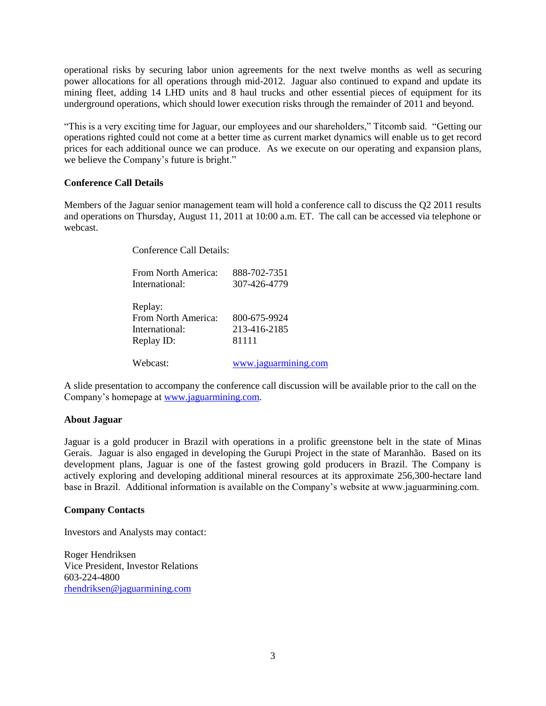operational risks by securing labor union agreements for the next twelve months as well as securing power allocations for all operations through mid-2012. Jaguar also continued to expand and update its mining fleet, adding 14 LHD units and 8 haul trucks and other essential pieces of equipment for its underground operations, which should lower execution risks through the remainder of 2011 and beyond.

"This is a very exciting time for Jaguar, our employees and our shareholders," Titcomb said. "Getting our operations righted could not come at a better time as current market dynamics will enable us to get record prices for each additional ounce we can produce. As we execute on our operating and expansion plans, we believe the Company's future is bright."

#### **Conference Call Details**

Members of the Jaguar senior management team will hold a conference call to discuss the Q2 2011 results and operations on Thursday, August 11, 2011 at 10:00 a.m. ET. The call can be accessed via telephone or webcast.

Conference Call Details:

| From North America: | 888-702-7351         |
|---------------------|----------------------|
| International:      | 307-426-4779         |
|                     |                      |
| Replay:             |                      |
| From North America: | 800-675-9924         |
| International:      | 213-416-2185         |
| Replay ID:          | 81111                |
| Webcast:            | www.jaguarmining.com |

A slide presentation to accompany the conference call discussion will be available prior to the call on the Company's homepage at [www.jaguarmining.com.](http://www.jaguarmining.com/)

#### **About Jaguar**

Jaguar is a gold producer in Brazil with operations in a prolific greenstone belt in the state of Minas Gerais. Jaguar is also engaged in developing the Gurupi Project in the state of Maranhão. Based on its development plans, Jaguar is one of the fastest growing gold producers in Brazil. The Company is actively exploring and developing additional mineral resources at its approximate 256,300-hectare land base in Brazil. Additional information is available on the Company's website at www.jaguarmining.com.

#### **Company Contacts**

Investors and Analysts may contact:

Roger Hendriksen Vice President, Investor Relations 603-224-4800 [rhendriksen@jaguarmining.com](mailto:rhendriksen@jaguarmining.com)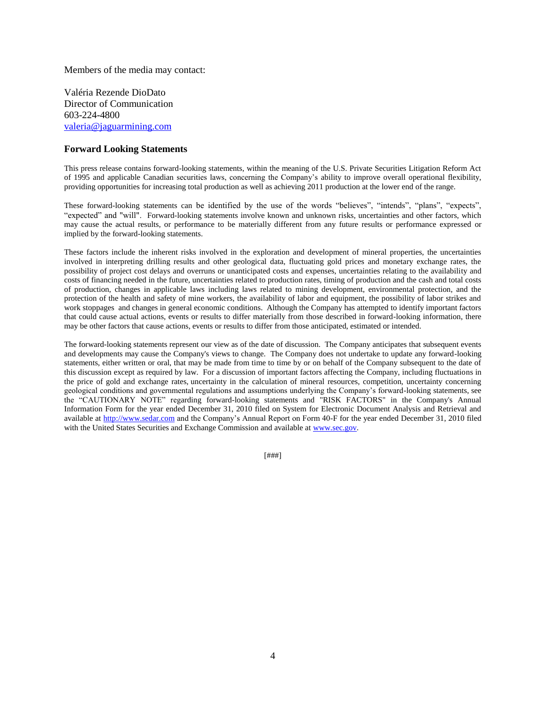Members of the media may contact:

Valéria Rezende DioDato Director of Communication 603-224-4800 [valeria@jaguarmining.com](mailto:valeria@jaguarmining.com)

#### **Forward Looking Statements**

This press release contains forward-looking statements, within the meaning of the U.S. Private Securities Litigation Reform Act of 1995 and applicable Canadian securities laws, concerning the Company's ability to improve overall operational flexibility, providing opportunities for increasing total production as well as achieving 2011 production at the lower end of the range.

These forward-looking statements can be identified by the use of the words "believes", "intends", "plans", "expects", "expected" and "will". Forward-looking statements involve known and unknown risks, uncertainties and other factors, which may cause the actual results, or performance to be materially different from any future results or performance expressed or implied by the forward-looking statements.

These factors include the inherent risks involved in the exploration and development of mineral properties, the uncertainties involved in interpreting drilling results and other geological data, fluctuating gold prices and monetary exchange rates, the possibility of project cost delays and overruns or unanticipated costs and expenses, uncertainties relating to the availability and costs of financing needed in the future, uncertainties related to production rates, timing of production and the cash and total costs of production, changes in applicable laws including laws related to mining development, environmental protection, and the protection of the health and safety of mine workers, the availability of labor and equipment, the possibility of labor strikes and work stoppages and changes in general economic conditions. Although the Company has attempted to identify important factors that could cause actual actions, events or results to differ materially from those described in forward-looking information, there may be other factors that cause actions, events or results to differ from those anticipated, estimated or intended.

The forward-looking statements represent our view as of the date of discussion. The Company anticipates that subsequent events and developments may cause the Company's views to change. The Company does not undertake to update any forward-looking statements, either written or oral, that may be made from time to time by or on behalf of the Company subsequent to the date of this discussion except as required by law. For a discussion of important factors affecting the Company, including fluctuations in the price of gold and exchange rates, uncertainty in the calculation of mineral resources, competition, uncertainty concerning geological conditions and governmental regulations and assumptions underlying the Company's forward-looking statements, see the "CAUTIONARY NOTE" regarding forward-looking statements and "RISK FACTORS" in the Company's Annual Information Form for the year ended December 31, 2010 filed on System for Electronic Document Analysis and Retrieval and available at [http://www.sedar.com](http://www.sedar.com/) and the Company's Annual Report on Form 40-F for the year ended December 31, 2010 filed with the United States Securities and Exchange Commission and available at [www.sec.gov.](http://www.sec.gov/)

[###]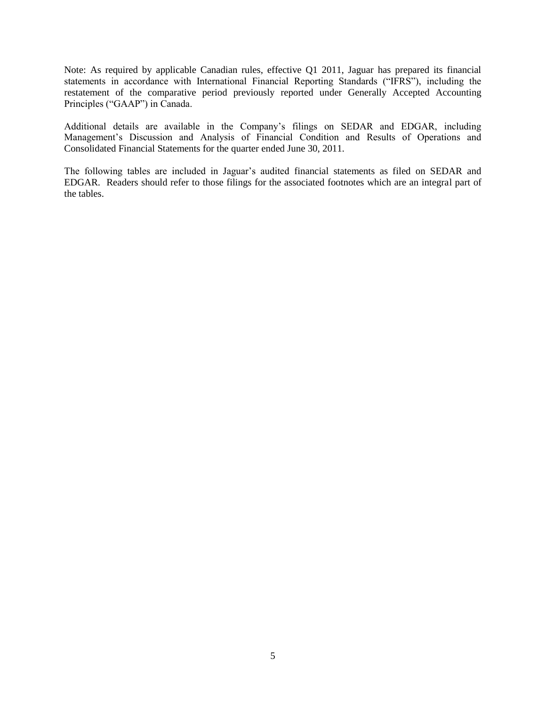Note: As required by applicable Canadian rules, effective Q1 2011, Jaguar has prepared its financial statements in accordance with International Financial Reporting Standards ("IFRS"), including the restatement of the comparative period previously reported under Generally Accepted Accounting Principles ("GAAP") in Canada.

Additional details are available in the Company's filings on SEDAR and EDGAR, including Management's Discussion and Analysis of Financial Condition and Results of Operations and Consolidated Financial Statements for the quarter ended June 30, 2011.

The following tables are included in Jaguar's audited financial statements as filed on SEDAR and EDGAR. Readers should refer to those filings for the associated footnotes which are an integral part of the tables.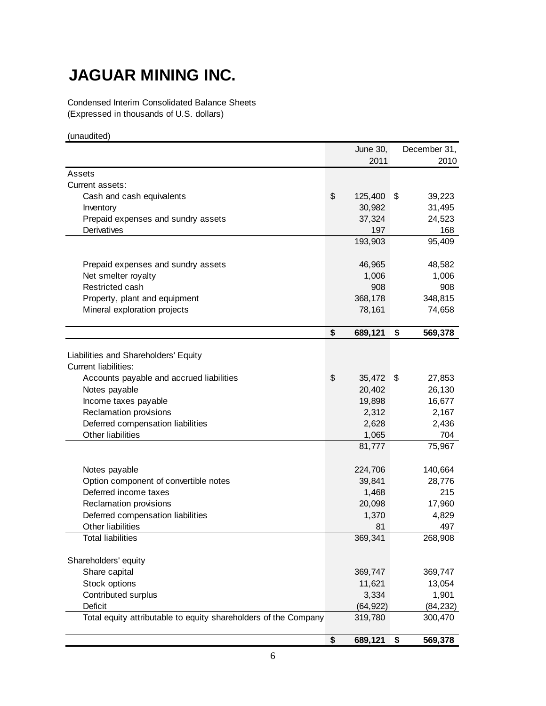# **JAGUAR MINING INC.**

Condensed Interim Consolidated Balance Sheets (Expressed in thousands of U.S. dollars)

(unaudited)

|                                                                 |                           | <b>June 30,</b> | December 31,  |
|-----------------------------------------------------------------|---------------------------|-----------------|---------------|
|                                                                 |                           | 2011            | 2010          |
| Assets                                                          |                           |                 |               |
| Current assets:                                                 |                           |                 |               |
| Cash and cash equivalents                                       | \$                        | 125,400         | \$<br>39,223  |
| Inventory                                                       |                           | 30,982          | 31,495        |
| Prepaid expenses and sundry assets                              |                           | 37,324          | 24,523        |
| Derivatives                                                     |                           | 197             | 168           |
|                                                                 |                           | 193,903         | 95,409        |
|                                                                 |                           |                 |               |
| Prepaid expenses and sundry assets                              |                           | 46,965          | 48,582        |
| Net smelter royalty                                             |                           | 1,006           | 1,006         |
| Restricted cash                                                 |                           | 908             | 908           |
| Property, plant and equipment                                   |                           | 368,178         | 348,815       |
| Mineral exploration projects                                    |                           | 78,161          | 74,658        |
|                                                                 | \$                        | 689,121         | \$<br>569,378 |
|                                                                 |                           |                 |               |
| Liabilities and Shareholders' Equity                            |                           |                 |               |
| <b>Current liabilities:</b>                                     |                           |                 |               |
| Accounts payable and accrued liabilities                        | $\boldsymbol{\mathsf{S}}$ | 35,472          | \$<br>27,853  |
| Notes payable                                                   |                           | 20,402          | 26,130        |
| Income taxes payable                                            |                           | 19,898          | 16,677        |
| Reclamation provisions                                          |                           | 2,312           | 2,167         |
| Deferred compensation liabilities                               |                           | 2,628           | 2,436         |
| Other liabilities                                               |                           | 1,065           | 704           |
|                                                                 |                           | 81,777          | 75,967        |
|                                                                 |                           |                 |               |
| Notes payable                                                   |                           | 224,706         | 140,664       |
| Option component of convertible notes                           |                           | 39,841          | 28,776        |
| Deferred income taxes                                           |                           | 1,468           | 215           |
| Reclamation provisions                                          |                           | 20,098          | 17,960        |
| Deferred compensation liabilities                               |                           | 1,370           | 4,829         |
| Other liabilities                                               |                           | 81              | 497           |
| <b>Total liabilities</b>                                        |                           | 369,341         | 268,908       |
| Shareholders' equity                                            |                           |                 |               |
| Share capital                                                   |                           | 369,747         | 369,747       |
| Stock options                                                   |                           | 11,621          | 13,054        |
| Contributed surplus                                             |                           | 3,334           | 1,901         |
| Deficit                                                         |                           | (64, 922)       | (84, 232)     |
| Total equity attributable to equity shareholders of the Company |                           | 319,780         | 300,470       |
|                                                                 |                           |                 |               |
|                                                                 | \$                        | 689,121         | \$<br>569,378 |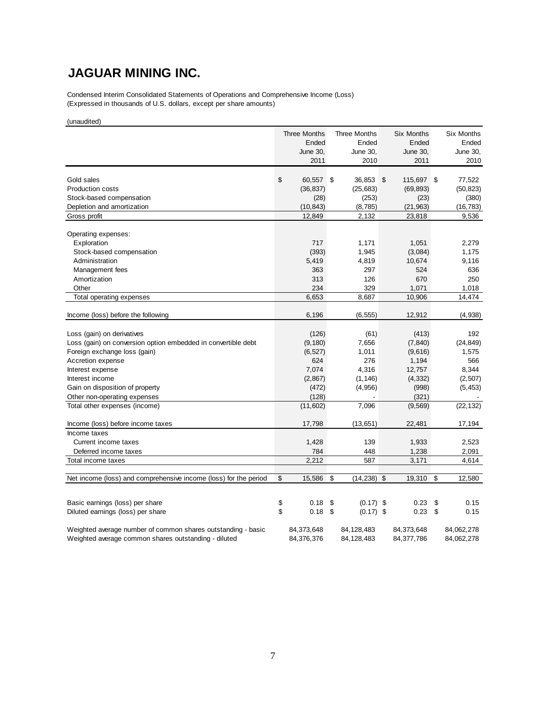## **JAGUAR MINING INC.**

Condensed Interim Consolidated Statements of Operations and Comprehensive Income (Loss) (Expressed in thousands of U.S. dollars, except per share amounts)

(unaudited)

|                                                                  |          | Three Months<br>Ended<br>June 30,<br>2011 | <b>Three Months</b><br>Ended<br>June 30,<br>2010 | <b>Six Months</b><br>Ended<br>June 30,<br>2011 | <b>Six Months</b><br>Ended<br>June 30,<br>2010 |
|------------------------------------------------------------------|----------|-------------------------------------------|--------------------------------------------------|------------------------------------------------|------------------------------------------------|
|                                                                  |          |                                           |                                                  |                                                |                                                |
| Gold sales                                                       | \$       | 60,557                                    | \$<br>36,853                                     | \$<br>115,697 \$                               | 77,522                                         |
| <b>Production costs</b>                                          |          | (36, 837)                                 | (25, 683)                                        | (69, 893)                                      | (50, 823)                                      |
| Stock-based compensation<br>Depletion and amortization           |          | (28)<br>(10, 843)                         | (253)<br>(8,785)                                 | (23)<br>(21, 963)                              | (380)                                          |
| Gross profit                                                     |          | 12,849                                    | 2,132                                            | 23,818                                         | (16, 783)<br>9,536                             |
|                                                                  |          |                                           |                                                  |                                                |                                                |
| Operating expenses:                                              |          |                                           |                                                  |                                                |                                                |
| Exploration                                                      |          | 717                                       | 1,171                                            | 1,051                                          | 2,279                                          |
| Stock-based compensation                                         |          | (393)                                     | 1,945                                            | (3,084)                                        | 1,175                                          |
| Administration                                                   |          | 5,419                                     | 4,819                                            | 10,674                                         | 9,116                                          |
| Management fees                                                  |          | 363                                       | 297                                              | 524                                            | 636                                            |
| Amortization                                                     |          | 313                                       | 126                                              | 670                                            | 250                                            |
| Other                                                            |          | 234                                       | 329                                              | 1,071                                          | 1.018                                          |
| Total operating expenses                                         |          | 6,653                                     | 8,687                                            | 10,906                                         | 14,474                                         |
|                                                                  |          |                                           |                                                  |                                                |                                                |
| Income (loss) before the following                               |          | 6,196                                     | (6, 555)                                         | 12,912                                         | (4,938)                                        |
|                                                                  |          |                                           |                                                  |                                                |                                                |
| Loss (gain) on derivatives                                       |          | (126)                                     | (61)                                             | (413)                                          | 192                                            |
| Loss (gain) on conversion option embedded in convertible debt    |          | (9, 180)                                  | 7,656                                            | (7, 840)                                       | (24, 849)                                      |
| Foreign exchange loss (gain)                                     |          | (6, 527)                                  | 1,011                                            | (9,616)                                        | 1,575                                          |
| Accretion expense                                                |          | 624                                       | 276                                              | 1,194                                          | 566                                            |
| Interest expense                                                 |          | 7,074                                     | 4,316                                            | 12,757                                         | 8,344                                          |
| Interest income                                                  |          | (2,867)                                   | (1, 146)                                         | (4, 332)                                       | (2,507)                                        |
| Gain on disposition of property                                  |          | (472)                                     | (4,956)                                          | (998)                                          | (5, 453)                                       |
| Other non-operating expenses                                     |          | (128)                                     |                                                  | (321)                                          |                                                |
| Total other expenses (income)                                    |          | (11,602)                                  | 7,096                                            | (9, 569)                                       | (22, 132)                                      |
| Income (loss) before income taxes                                |          | 17,798                                    | (13, 651)                                        | 22,481                                         | 17,194                                         |
| Income taxes                                                     |          |                                           |                                                  |                                                |                                                |
| Current income taxes                                             |          | 1,428                                     | 139                                              | 1,933                                          | 2,523                                          |
| Deferred income taxes                                            |          | 784                                       | 448                                              | 1,238                                          | 2,091                                          |
| Total income taxes                                               |          | 2,212                                     | 587                                              | 3,171                                          | 4,614                                          |
|                                                                  |          |                                           |                                                  |                                                |                                                |
| Net income (loss) and comprehensive income (loss) for the period | \$       | 15,586                                    | \$<br>(14, 238)                                  | \$<br>19,310                                   | \$<br>12,580                                   |
|                                                                  |          | 0.18                                      |                                                  | 0.23                                           | 0.15                                           |
| Basic earnings (loss) per share                                  | \$<br>\$ |                                           | \$<br>$(0.17)$ \$                                |                                                | \$                                             |
| Diluted earnings (loss) per share                                |          | 0.18                                      | \$<br>$(0.17)$ \$                                | 0.23                                           | \$<br>0.15                                     |
| Weighted average number of common shares outstanding - basic     |          | 84,373,648                                | 84,128,483                                       | 84,373,648                                     | 84,062,278                                     |
| Weighted average common shares outstanding - diluted             |          | 84,376,376                                | 84,128,483                                       | 84,377,786                                     | 84,062,278                                     |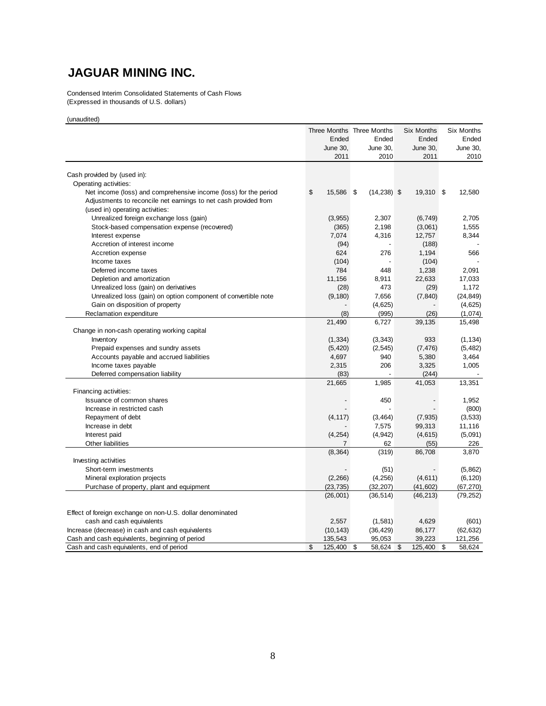## **JAGUAR MINING INC.**

Condensed Interim Consolidated Statements of Cash Flows (Expressed in thousands of U.S. dollars)

(unaudited)

|                                                                  | Three Months Three Months |      |                 | Six Months    | Six Months   |
|------------------------------------------------------------------|---------------------------|------|-----------------|---------------|--------------|
|                                                                  | Ended                     |      | Ended           | Ended         | Ended        |
|                                                                  | <b>June 30,</b>           |      | <b>June 30,</b> | June 30,      | June 30,     |
|                                                                  | 2011                      |      | 2010            | 2011          | 2010         |
|                                                                  |                           |      |                 |               |              |
| Cash provided by (used in):                                      |                           |      |                 |               |              |
| Operating activities:                                            |                           |      |                 |               |              |
| Net income (loss) and comprehensive income (loss) for the period | \$<br>15,586              | - \$ | $(14, 238)$ \$  | 19,310 \$     | 12,580       |
| Adjustments to reconcile net earnings to net cash provided from  |                           |      |                 |               |              |
| (used in) operating activities:                                  |                           |      |                 |               |              |
| Unrealized foreign exchange loss (gain)                          | (3,955)                   |      | 2,307           | (6, 749)      | 2,705        |
| Stock-based compensation expense (recovered)                     | (365)                     |      | 2,198           | (3,061)       | 1,555        |
| Interest expense                                                 | 7,074                     |      | 4,316           | 12,757        | 8,344        |
| Accretion of interest income                                     | (94)                      |      |                 | (188)         |              |
| Accretion expense                                                | 624                       |      | 276             | 1,194         | 566          |
| Income taxes                                                     | (104)                     |      |                 | (104)         |              |
| Deferred income taxes                                            | 784                       |      | 448             | 1,238         | 2,091        |
| Depletion and amortization                                       | 11,156                    |      | 8,911           | 22,633        | 17,033       |
| Unrealized loss (gain) on derivatives                            | (28)                      |      | 473             | (29)          | 1,172        |
| Unrealized loss (gain) on option component of convertible note   | (9, 180)                  |      | 7,656           | (7, 840)      | (24, 849)    |
| Gain on disposition of property                                  |                           |      | (4,625)         |               | (4,625)      |
| Reclamation expenditure                                          | (8)                       |      | (995)           | (26)          | (1,074)      |
|                                                                  | 21,490                    |      | 6,727           | 39,135        | 15,498       |
| Change in non-cash operating working capital                     |                           |      |                 |               |              |
| Inventory                                                        | (1, 334)                  |      | (3, 343)        | 933           | (1, 134)     |
| Prepaid expenses and sundry assets                               | (5, 420)                  |      | (2, 545)        | (7, 476)      | (5, 482)     |
| Accounts payable and accrued liabilities                         | 4,697                     |      | 940             | 5,380         | 3,464        |
| Income taxes payable                                             | 2,315                     |      | 206             | 3,325         | 1,005        |
| Deferred compensation liability                                  | (83)                      |      |                 | (244)         |              |
|                                                                  | 21,665                    |      | 1,985           | 41,053        | 13,351       |
| Financing activities:                                            |                           |      |                 |               |              |
| Issuance of common shares                                        |                           |      | 450             |               | 1,952        |
| Increase in restricted cash                                      |                           |      |                 |               | (800)        |
| Repayment of debt                                                | (4, 117)                  |      | (3, 464)        | (7, 935)      | (3,533)      |
| Increase in debt                                                 |                           |      | 7,575           | 99,313        | 11,116       |
| Interest paid                                                    | (4, 254)                  |      | (4, 942)        | (4,615)       | (5,091)      |
| Other liabilities                                                | 7                         |      | 62              | (55)          | 226          |
|                                                                  | (8, 364)                  |      | (319)           | 86,708        | 3,870        |
|                                                                  |                           |      |                 |               |              |
| Investing activities                                             |                           |      |                 |               |              |
| Short-term investments                                           |                           |      | (51)            |               | (5,862)      |
| Mineral exploration projects                                     | (2, 266)                  |      | (4, 256)        | (4,611)       | (6, 120)     |
| Purchase of property, plant and equipment                        | (23, 735)                 |      | (32, 207)       | (41, 602)     | (67, 270)    |
|                                                                  | (26,001)                  |      | (36, 514)       | (46, 213)     | (79, 252)    |
|                                                                  |                           |      |                 |               |              |
| Effect of foreign exchange on non-U.S. dollar denominated        |                           |      |                 |               |              |
| cash and cash equivalents                                        | 2,557                     |      | (1,581)         | 4,629         | (601)        |
| Increase (decrease) in cash and cash equivalents                 | (10, 143)                 |      | (36, 429)       | 86,177        | (62, 632)    |
| Cash and cash equivalents, beginning of period                   | 135,543                   |      | 95,053          | 39,223        | 121,256      |
| Cash and cash equivalents, end of period                         | \$<br>125,400             | \$   | 58,624          | \$<br>125,400 | \$<br>58,624 |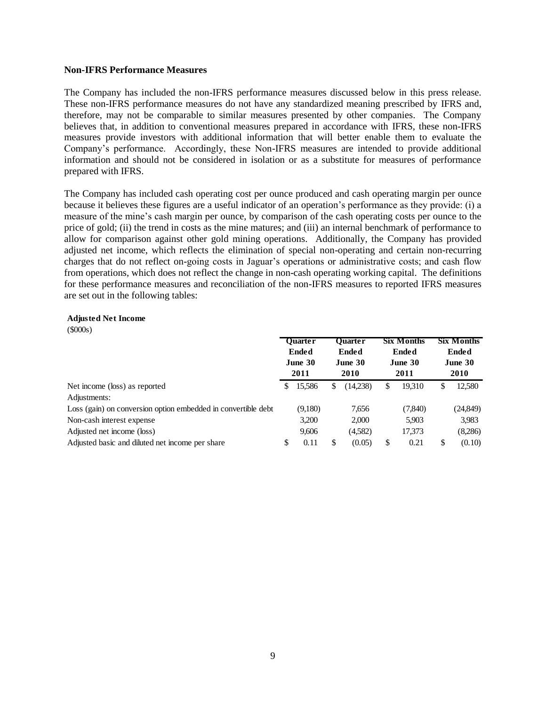#### **Non-IFRS Performance Measures**

The Company has included the non-IFRS performance measures discussed below in this press release. These non-IFRS performance measures do not have any standardized meaning prescribed by IFRS and, therefore, may not be comparable to similar measures presented by other companies. The Company believes that, in addition to conventional measures prepared in accordance with IFRS, these non-IFRS measures provide investors with additional information that will better enable them to evaluate the Company's performance. Accordingly, these Non-IFRS measures are intended to provide additional information and should not be considered in isolation or as a substitute for measures of performance prepared with IFRS.

The Company has included cash operating cost per ounce produced and cash operating margin per ounce because it believes these figures are a useful indicator of an operation's performance as they provide: (i) a measure of the mine's cash margin per ounce, by comparison of the cash operating costs per ounce to the price of gold; (ii) the trend in costs as the mine matures; and (iii) an internal benchmark of performance to allow for comparison against other gold mining operations. Additionally, the Company has provided adjusted net income, which reflects the elimination of special non-operating and certain non-recurring charges that do not reflect on-going costs in Jaguar's operations or administrative costs; and cash flow from operations, which does not reflect the change in non-cash operating working capital. The definitions for these performance measures and reconciliation of the non-IFRS measures to reported IFRS measures are set out in the following tables:

#### **Adjusted Net Income**

(\$000s)

|                                                               | <b>Ouarter</b><br><b>Ended</b><br>June 30<br>2011 |         | <b>Six Months</b><br><b>Ouarter</b><br><b>Ended</b><br><b>Ended</b><br>June 30<br>June 30<br>2010<br>2011 |          |    | <b>Six Months</b><br><b>Ended</b><br>June 30<br><b>2010</b> |    |          |
|---------------------------------------------------------------|---------------------------------------------------|---------|-----------------------------------------------------------------------------------------------------------|----------|----|-------------------------------------------------------------|----|----------|
| Net income (loss) as reported                                 | S                                                 | 15,586  | \$                                                                                                        | (14,238) | \$ | 19,310                                                      | \$ | 12,580   |
| Adjustments:                                                  |                                                   |         |                                                                                                           |          |    |                                                             |    |          |
| Loss (gain) on conversion option embedded in convertible debt |                                                   | (9,180) |                                                                                                           | 7,656    |    | (7,840)                                                     |    | (24,849) |
| Non-cash interest expense                                     |                                                   | 3,200   |                                                                                                           | 2,000    |    | 5,903                                                       |    | 3,983    |
| Adjusted net income (loss)                                    |                                                   | 9,606   |                                                                                                           | (4,582)  |    | 17,373                                                      |    | (8,286)  |
| Adjusted basic and diluted net income per share               | \$                                                | 0.11    | \$                                                                                                        | (0.05)   | \$ | 0.21                                                        | \$ | (0.10)   |